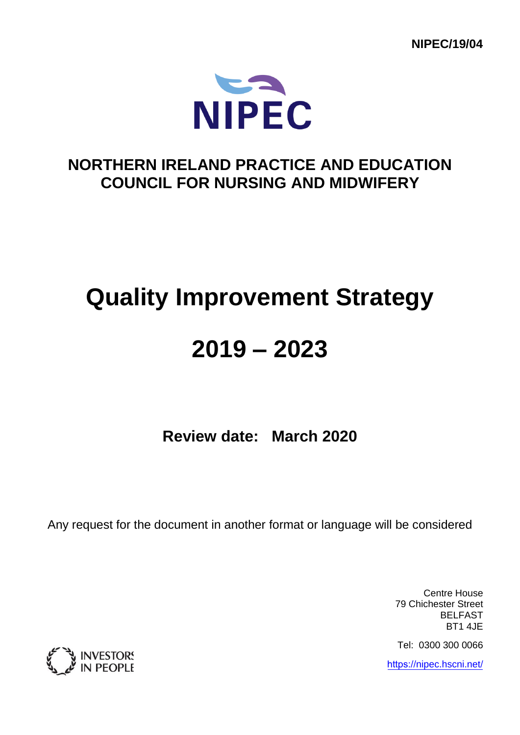**NIPEC/19/04** 



# **NORTHERN IRELAND PRACTICE AND EDUCATION COUNCIL FOR NURSING AND MIDWIFERY**

# **Quality Improvement Strategy**

# **2019 – 2023**

**Review date: March 2020** 

Any request for the document in another format or language will be considered

Centre House 79 Chichester Street BELFAST BT1 4JE

Tel: 0300 300 0066

https://[nipec.hscni.net](https://nipec.hscni.net/)/

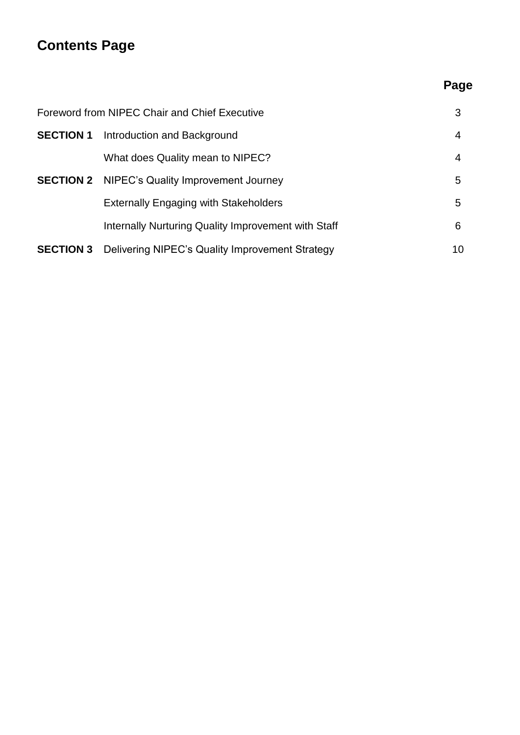# **Contents Page**

# **Page**

| Foreword from NIPEC Chair and Chief Executive |                                                      |    |
|-----------------------------------------------|------------------------------------------------------|----|
| <b>SECTION 1</b>                              | Introduction and Background                          | 4  |
|                                               | What does Quality mean to NIPEC?                     | 4  |
|                                               | <b>SECTION 2</b> NIPEC's Quality Improvement Journey | 5  |
|                                               | <b>Externally Engaging with Stakeholders</b>         | 5  |
|                                               | Internally Nurturing Quality Improvement with Staff  | 6  |
| <b>SECTION 3</b>                              | Delivering NIPEC's Quality Improvement Strategy      | 10 |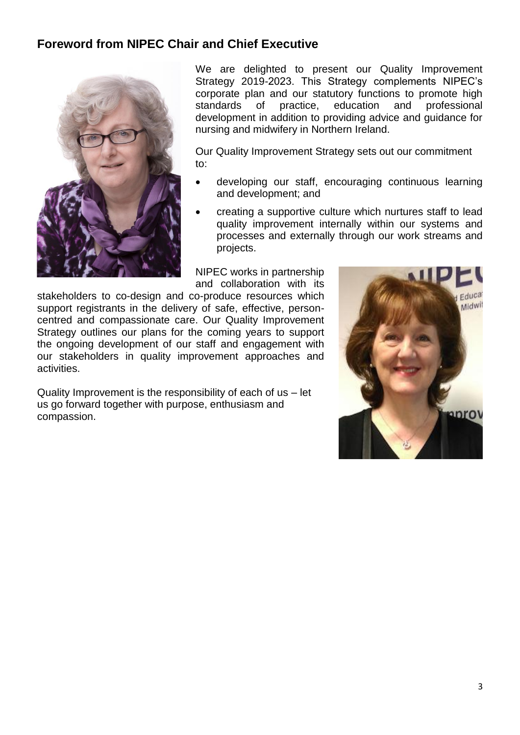## **Foreword from NIPEC Chair and Chief Executive**



We are delighted to present our Quality Improvement Strategy 2019-2023. This Strategy complements NIPEC's corporate plan and our statutory functions to promote high standards of practice, education and professional development in addition to providing advice and guidance for nursing and midwifery in Northern Ireland.

Our Quality Improvement Strategy sets out our commitment to:

- developing our staff, encouraging continuous learning and development; and
- creating a supportive culture which nurtures staff to lead quality improvement internally within our systems and processes and externally through our work streams and projects.

NIPEC works in partnership and collaboration with its

stakeholders to co-design and co-produce resources which support registrants in the delivery of safe, effective, personcentred and compassionate care. Our Quality Improvement Strategy outlines our plans for the coming years to support the ongoing development of our staff and engagement with our stakeholders in quality improvement approaches and activities.

Quality Improvement is the responsibility of each of us – let us go forward together with purpose, enthusiasm and compassion.

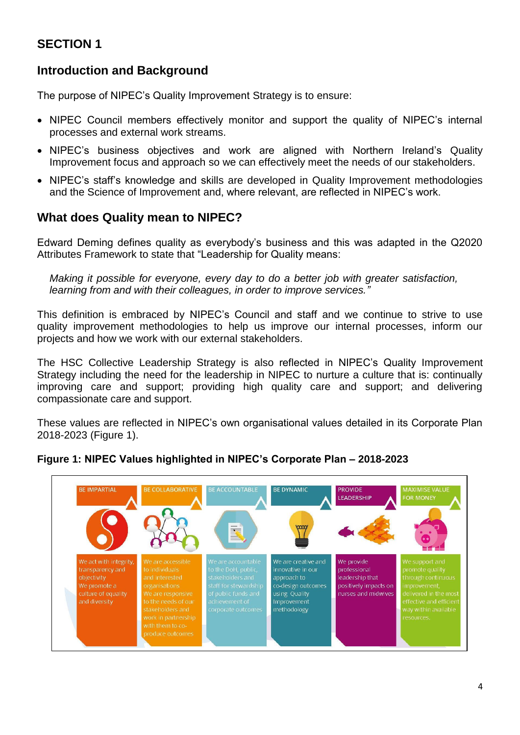# **SECTION 1**

## **Introduction and Background**

The purpose of NIPEC's Quality Improvement Strategy is to ensure:

- NIPEC Council members effectively monitor and support the quality of NIPEC's internal processes and external work streams.
- NIPEC's business objectives and work are aligned with Northern Ireland's Quality Improvement focus and approach so we can effectively meet the needs of our stakeholders.
- NIPEC's staff's knowledge and skills are developed in Quality Improvement methodologies and the Science of Improvement and, where relevant, are reflected in NIPEC's work.

## **What does Quality mean to NIPEC?**

Edward Deming defines quality as everybody's business and this was adapted in the Q2020 Attributes Framework to state that "Leadership for Quality means:

*Making it possible for everyone, every day to do a better job with greater satisfaction, learning from and with their colleagues, in order to improve services."*

This definition is embraced by NIPEC's Council and staff and we continue to strive to use quality improvement methodologies to help us improve our internal processes, inform our projects and how we work with our external stakeholders.

The HSC Collective Leadership Strategy is also reflected in NIPEC's Quality Improvement Strategy including the need for the leadership in NIPEC to nurture a culture that is: continually improving care and support; providing high quality care and support; and delivering compassionate care and support.

These values are reflected in NIPEC's own organisational values detailed in its Corporate Plan 2018-2023 (Figure 1).

#### **Figure 1: NIPEC Values highlighted in NIPEC's Corporate Plan – 2018-2023**

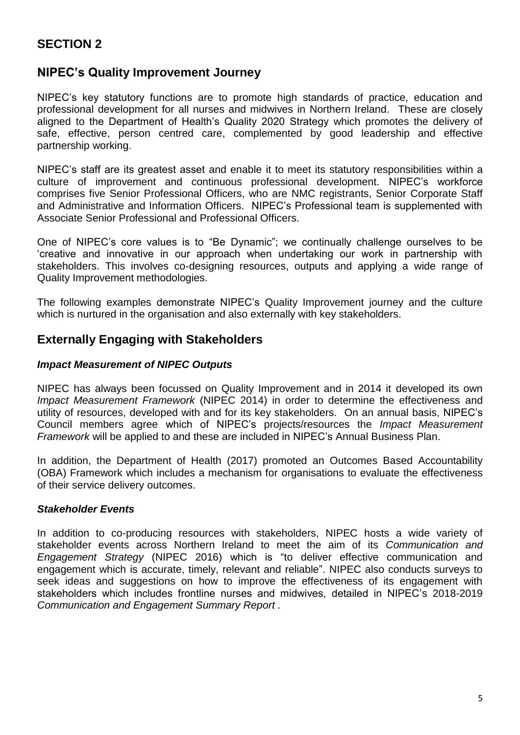# **SECTION 2**

### **NIPEC's Quality Improvement Journey**

NIPEC's key statutory functions are to promote high standards of practice, education and professional development for all nurses and midwives in Northern Ireland. These are closely aligned to the Department of Health's Quality 2020 Strategy which promotes the delivery of safe, effective, person centred care, complemented by good leadership and effective partnership working.

NIPEC's staff are its greatest asset and enable it to meet its statutory responsibilities within a culture of improvement and continuous professional development. NIPEC's workforce comprises five Senior Professional Officers, who are NMC registrants, Senior Corporate Staff and Administrative and Information Officers. NIPEC's Professional team is supplemented with Associate Senior Professional and Professional Officers.

One of NIPEC's core values is to "Be Dynamic"; we continually challenge ourselves to be 'creative and innovative in our approach when undertaking our work in partnership with stakeholders. This involves co-designing resources, outputs and applying a wide range of Quality Improvement methodologies.

The following examples demonstrate NIPEC's Quality Improvement journey and the culture which is nurtured in the organisation and also externally with key stakeholders.

### **Externally Engaging with Stakeholders**

#### *Impact Measurement of NIPEC Outputs*

NIPEC has always been focussed on Quality Improvement and in 2014 it developed its own *Impact Measurement Framework* (NIPEC 2014) in order to determine the effectiveness and utility of resources, developed with and for its key stakeholders. On an annual basis, NIPEC's Council members agree which of NIPEC's projects/resources the *Impact Measurement Framework* will be applied to and these are included in NIPEC's Annual Business Plan.

In addition, the Department of Health (2017) promoted an Outcomes Based Accountability (OBA) Framework which includes a mechanism for organisations to evaluate the effectiveness of their service delivery outcomes.

#### *Stakeholder Events*

In addition to co-producing resources with stakeholders, NIPEC hosts a wide variety of stakeholder events across Northern Ireland to meet the aim of its *Communication and Engagement Strategy* (NIPEC 2016) which is "to deliver effective communication and engagement which is accurate, timely, relevant and reliable". NIPEC also conducts surveys to seek ideas and suggestions on how to improve the effectiveness of its engagement with stakeholders which includes frontline nurses and midwives, detailed in NIPEC's 2018-2019 *Communication and Engagement Summary Report .*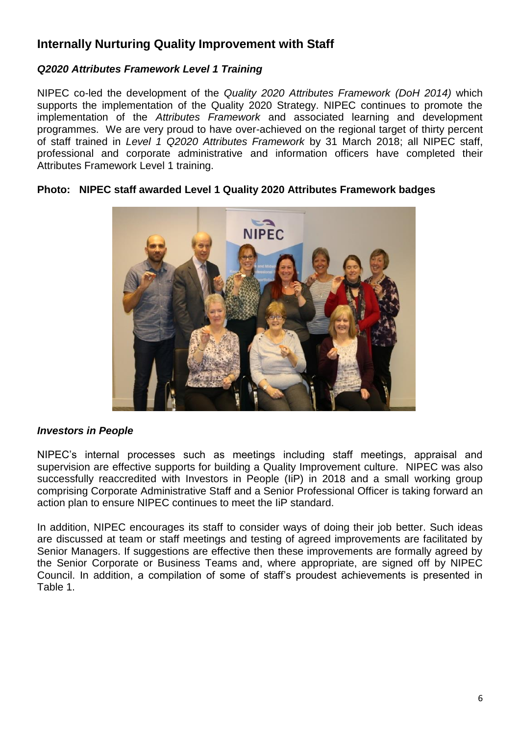# **Internally Nurturing Quality Improvement with Staff**

#### *Q2020 Attributes Framework Level 1 Training*

NIPEC co-led the development of the *Quality 2020 Attributes Framework (DoH 2014)* which supports the implementation of the Quality 2020 Strategy. NIPEC continues to promote the implementation of the *Attributes Framework* and associated learning and development programmes. We are very proud to have over-achieved on the regional target of thirty percent of staff trained in *Level 1 Q2020 Attributes Framework* by 31 March 2018; all NIPEC staff, professional and corporate administrative and information officers have completed their Attributes Framework Level 1 training.



#### **Photo: NIPEC staff awarded Level 1 Quality 2020 Attributes Framework badges**

#### *Investors in People*

NIPEC's internal processes such as meetings including staff meetings, appraisal and supervision are effective supports for building a Quality Improvement culture. NIPEC was also successfully reaccredited with Investors in People (IiP) in 2018 and a small working group comprising Corporate Administrative Staff and a Senior Professional Officer is taking forward an action plan to ensure NIPEC continues to meet the IiP standard.

In addition, NIPEC encourages its staff to consider ways of doing their job better. Such ideas are discussed at team or staff meetings and testing of agreed improvements are facilitated by Senior Managers. If suggestions are effective then these improvements are formally agreed by the Senior Corporate or Business Teams and, where appropriate, are signed off by NIPEC Council. In addition, a compilation of some of staff's proudest achievements is presented in Table 1.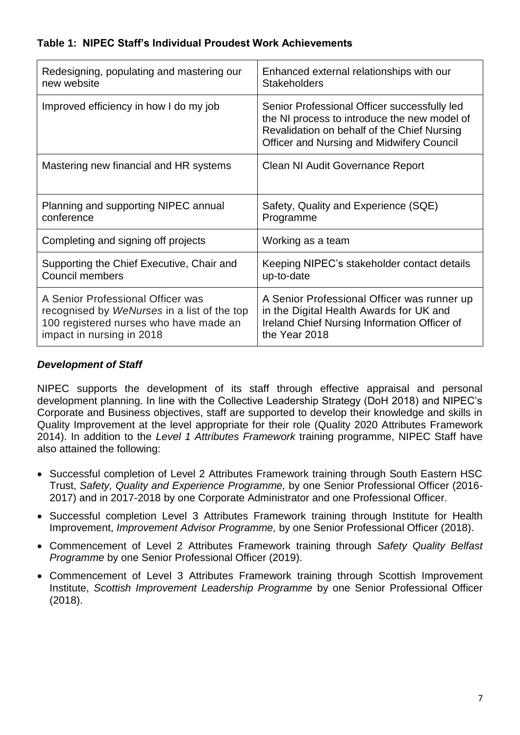#### **Table 1: NIPEC Staff's Individual Proudest Work Achievements**

| Redesigning, populating and mastering our   | Enhanced external relationships with our                                                                                                                                                        |
|---------------------------------------------|-------------------------------------------------------------------------------------------------------------------------------------------------------------------------------------------------|
| new website                                 | <b>Stakeholders</b>                                                                                                                                                                             |
| Improved efficiency in how I do my job      | Senior Professional Officer successfully led<br>the NI process to introduce the new model of<br>Revalidation on behalf of the Chief Nursing<br><b>Officer and Nursing and Midwifery Council</b> |
| Mastering new financial and HR systems      | Clean NI Audit Governance Report                                                                                                                                                                |
| Planning and supporting NIPEC annual        | Safety, Quality and Experience (SQE)                                                                                                                                                            |
| conference                                  | Programme                                                                                                                                                                                       |
| Completing and signing off projects         | Working as a team                                                                                                                                                                               |
| Supporting the Chief Executive, Chair and   | Keeping NIPEC's stakeholder contact details                                                                                                                                                     |
| <b>Council members</b>                      | up-to-date                                                                                                                                                                                      |
| A Senior Professional Officer was           | A Senior Professional Officer was runner up                                                                                                                                                     |
| recognised by WeNurses in a list of the top | in the Digital Health Awards for UK and                                                                                                                                                         |
| 100 registered nurses who have made an      | Ireland Chief Nursing Information Officer of                                                                                                                                                    |
| impact in nursing in 2018                   | the Year 2018                                                                                                                                                                                   |

#### *Development of Staff*

NIPEC supports the development of its staff through effective appraisal and personal development planning. In line with the Collective Leadership Strategy (DoH 2018) and NIPEC's Corporate and Business objectives, staff are supported to develop their knowledge and skills in Quality Improvement at the level appropriate for their role (Quality 2020 Attributes Framework 2014). In addition to the *Level 1 Attributes Framework* training programme, NIPEC Staff have also attained the following:

- Successful completion of Level 2 Attributes Framework training through South Eastern HSC Trust, *Safety, Quality and Experience Programme,* by one Senior Professional Officer (2016- 2017) and in 2017-2018 by one Corporate Administrator and one Professional Officer.
- Successful completion Level 3 Attributes Framework training through Institute for Health Improvement, *Improvement Advisor Programme,* by one Senior Professional Officer (2018).
- Commencement of Level 2 Attributes Framework training through *Safety Quality Belfast Programme* by one Senior Professional Officer (2019).
- Commencement of Level 3 Attributes Framework training through Scottish Improvement Institute, *Scottish Improvement Leadership Programme* by one Senior Professional Officer (2018).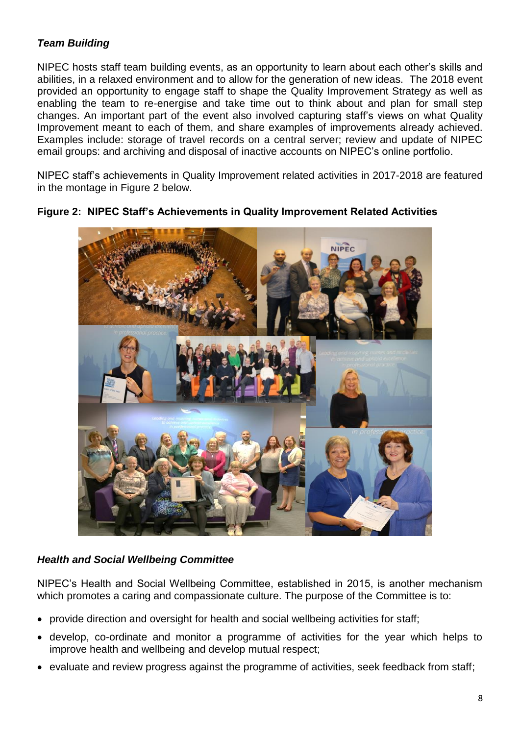#### *Team Building*

NIPEC hosts staff team building events, as an opportunity to learn about each other's skills and abilities, in a relaxed environment and to allow for the generation of new ideas. The 2018 event provided an opportunity to engage staff to shape the Quality Improvement Strategy as well as enabling the team to re-energise and take time out to think about and plan for small step changes. An important part of the event also involved capturing staff's views on what Quality Improvement meant to each of them, and share examples of improvements already achieved. Examples include: storage of travel records on a central server; review and update of NIPEC email groups: and archiving and disposal of inactive accounts on NIPEC's online portfolio.

NIPEC staff's achievements in Quality Improvement related activities in 2017-2018 are featured in the montage in Figure 2 below.



**Figure 2: NIPEC Staff's Achievements in Quality Improvement Related Activities**

#### *Health and Social Wellbeing Committee*

NIPEC's Health and Social Wellbeing Committee, established in 2015, is another mechanism which promotes a caring and compassionate culture. The purpose of the Committee is to:

- provide direction and oversight for health and social wellbeing activities for staff;
- develop, co-ordinate and monitor a programme of activities for the year which helps to improve health and wellbeing and develop mutual respect;
- evaluate and review progress against the programme of activities, seek feedback from staff;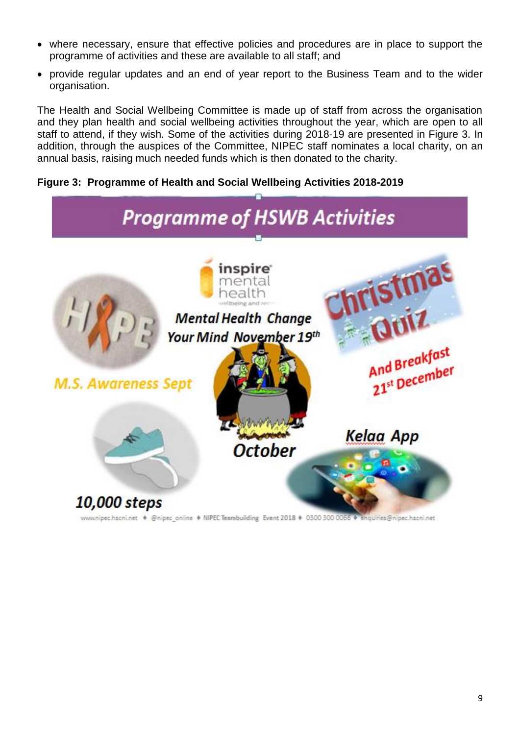- where necessary, ensure that effective policies and procedures are in place to support the programme of activities and these are available to all staff; and
- provide regular updates and an end of year report to the Business Team and to the wider organisation.

The Health and Social Wellbeing Committee is made up of staff from across the organisation and they plan health and social wellbeing activities throughout the year, which are open to all staff to attend, if they wish. Some of the activities during 2018-19 are presented in Figure 3. In addition, through the auspices of the Committee, NIPEC staff nominates a local charity, on an annual basis, raising much needed funds which is then donated to the charity.

#### **Figure 3: Programme of Health and Social Wellbeing Activities 2018-2019**



www.nipec.hscni.net · @nipec\_online · NIPEC Teambuilding Event 2018 · 0300 300 0056 houiries@nipec.hscni.net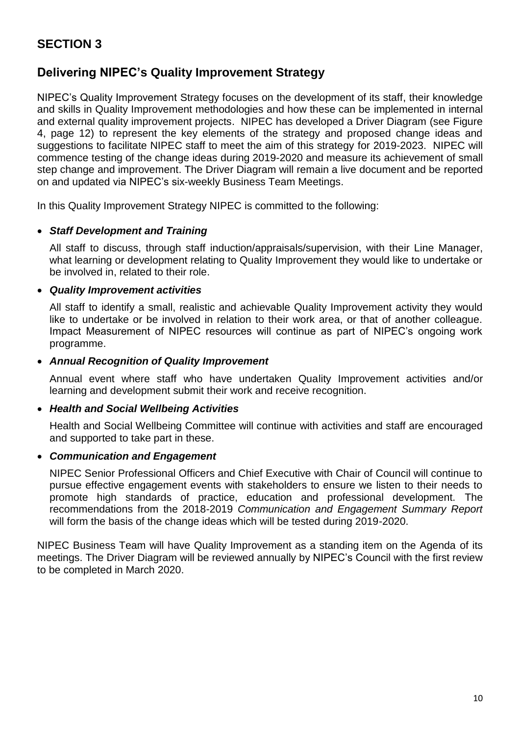# **SECTION 3**

# **Delivering NIPEC's Quality Improvement Strategy**

NIPEC's Quality Improvement Strategy focuses on the development of its staff, their knowledge and skills in Quality Improvement methodologies and how these can be implemented in internal and external quality improvement projects. NIPEC has developed a Driver Diagram (see Figure 4, page 12) to represent the key elements of the strategy and proposed change ideas and suggestions to facilitate NIPEC staff to meet the aim of this strategy for 2019-2023. NIPEC will commence testing of the change ideas during 2019-2020 and measure its achievement of small step change and improvement. The Driver Diagram will remain a live document and be reported on and updated via NIPEC's six-weekly Business Team Meetings.

In this Quality Improvement Strategy NIPEC is committed to the following:

#### *Staff Development and Training*

All staff to discuss, through staff induction/appraisals/supervision, with their Line Manager, what learning or development relating to Quality Improvement they would like to undertake or be involved in, related to their role.

#### *Quality Improvement activities*

All staff to identify a small, realistic and achievable Quality Improvement activity they would like to undertake or be involved in relation to their work area, or that of another colleague. Impact Measurement of NIPEC resources will continue as part of NIPEC's ongoing work programme.

#### *Annual Recognition of Quality Improvement*

Annual event where staff who have undertaken Quality Improvement activities and/or learning and development submit their work and receive recognition.

#### *Health and Social Wellbeing Activities*

Health and Social Wellbeing Committee will continue with activities and staff are encouraged and supported to take part in these.

#### *Communication and Engagement*

NIPEC Senior Professional Officers and Chief Executive with Chair of Council will continue to pursue effective engagement events with stakeholders to ensure we listen to their needs to promote high standards of practice, education and professional development. The recommendations from the 2018-2019 *Communication and Engagement Summary Report*  will form the basis of the change ideas which will be tested during 2019-2020.

NIPEC Business Team will have Quality Improvement as a standing item on the Agenda of its meetings. The Driver Diagram will be reviewed annually by NIPEC's Council with the first review to be completed in March 2020.